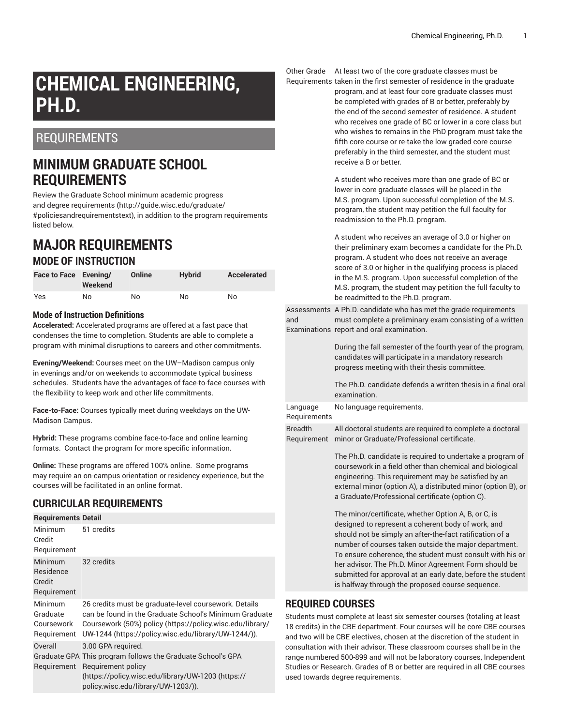# **CHEMICAL ENGINEERING, PH.D.**

## REQUIREMENTS

# **MINIMUM GRADUATE SCHOOL REQUIREMENTS**

Review the Graduate School minimum [academic](http://guide.wisc.edu/graduate/#policiesandrequirementstext) progress and degree [requirements](http://guide.wisc.edu/graduate/#policiesandrequirementstext) [\(http://guide.wisc.edu/graduate/](http://guide.wisc.edu/graduate/#policiesandrequirementstext) [#policiesandrequirementstext\)](http://guide.wisc.edu/graduate/#policiesandrequirementstext), in addition to the program requirements listed below.

## **MAJOR REQUIREMENTS MODE OF INSTRUCTION**

| Face to Face Evening/ | Weekend | Online | <b>Hybrid</b> | Accelerated |
|-----------------------|---------|--------|---------------|-------------|
| Yes                   | No      | No     | No            | No          |

#### **Mode of Instruction Definitions**

**Accelerated:** Accelerated programs are offered at a fast pace that condenses the time to completion. Students are able to complete a program with minimal disruptions to careers and other commitments.

**Evening/Weekend:** Courses meet on the UW–Madison campus only in evenings and/or on weekends to accommodate typical business schedules. Students have the advantages of face-to-face courses with the flexibility to keep work and other life commitments.

**Face-to-Face:** Courses typically meet during weekdays on the UW-Madison Campus.

**Hybrid:** These programs combine face-to-face and online learning formats. Contact the program for more specific information.

**Online:** These programs are offered 100% online. Some programs may require an on-campus orientation or residency experience, but the courses will be facilitated in an online format.

### **CURRICULAR REQUIREMENTS**

| <b>Requirements Detail</b>                       |                                                                                                                                                                                                                                      |
|--------------------------------------------------|--------------------------------------------------------------------------------------------------------------------------------------------------------------------------------------------------------------------------------------|
| <b>Minimum</b><br>Credit<br>Requirement          | 51 credits                                                                                                                                                                                                                           |
| Minimum<br>Residence<br>Credit<br>Requirement    | 32 credits                                                                                                                                                                                                                           |
| Minimum<br>Graduate<br>Coursework<br>Requirement | 26 credits must be graduate-level coursework. Details<br>can be found in the Graduate School's Minimum Graduate<br>Coursework (50%) policy (https://policy.wisc.edu/library/<br>UW-1244 (https://policy.wisc.edu/library/UW-1244/)). |
| Overall<br>Requirement                           | 3.00 GPA required.<br>Graduate GPA This program follows the Graduate School's GPA<br>Requirement policy<br>(https://policy.wisc.edu/library/UW-1203 (https://<br>policy.wisc.edu/library/UW-1203/)).                                 |

Other Grade At least two of the core graduate classes must be

Requirements taken in the first semester of residence in the graduate program, and at least four core graduate classes must be completed with grades of B or better, preferably by the end of the second semester of residence. A student who receives one grade of BC or lower in a core class but who wishes to remains in the PhD program must take the fifth core course or re-take the low graded core course preferably in the third semester, and the student must receive a B or better.

> A student who receives more than one grade of BC or lower in core graduate classes will be placed in the M.S. program. Upon successful completion of the M.S. program, the student may petition the full faculty for readmission to the Ph.D. program.

A student who receives an average of 3.0 or higher on their preliminary exam becomes a candidate for the Ph.D. program. A student who does not receive an average score of 3.0 or higher in the qualifying process is placed in the M.S. program. Upon successful completion of the M.S. program, the student may petition the full faculty to be readmitted to the Ph.D. program.

Assessments A Ph.D. candidate who has met the grade requirements and Examinations report and oral examination. must complete a preliminary exam consisting of a written

> During the fall semester of the fourth year of the program, candidates will participate in a mandatory research progress meeting with their thesis committee.

> The Ph.D. candidate defends a written thesis in a final oral examination.

Language No language requirements.

Requirements

Breadth Requirement minor or Graduate/Professional certificate. All doctoral students are required to complete a doctoral

> The Ph.D. candidate is required to undertake a program of coursework in a field other than chemical and biological engineering. This requirement may be satisfied by an external minor (option A), a distributed minor (option B), or a Graduate/Professional certificate (option C).

> The minor/certificate, whether Option A, B, or C, is designed to represent a coherent body of work, and should not be simply an after-the-fact ratification of a number of courses taken outside the major department. To ensure coherence, the student must consult with his or her advisor. The Ph.D. Minor Agreement Form should be submitted for approval at an early date, before the student is halfway through the proposed course sequence.

#### **REQUIRED COURSES**

Students must complete at least six semester courses (totaling at least 18 credits) in the CBE department. Four courses will be core CBE courses and two will be CBE electives, chosen at the discretion of the student in consultation with their advisor. These classroom courses shall be in the range numbered 500-899 and will not be laboratory courses, Independent Studies or Research. Grades of B or better are required in all CBE courses used towards degree requirements.